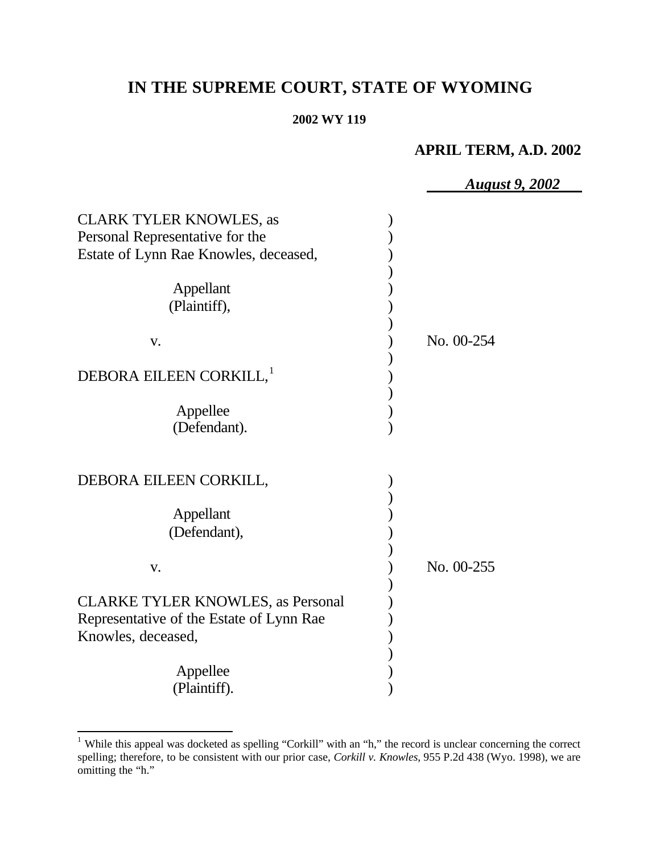# **IN THE SUPREME COURT, STATE OF WYOMING**

#### **2002 WY 119**

## **APRIL TERM, A.D. 2002**

|                                                                                                            | <b>August 9, 2002</b> |
|------------------------------------------------------------------------------------------------------------|-----------------------|
| <b>CLARK TYLER KNOWLES, as</b><br>Personal Representative for the                                          |                       |
| Estate of Lynn Rae Knowles, deceased,                                                                      |                       |
| Appellant<br>(Plaintiff),                                                                                  |                       |
| V.                                                                                                         | No. 00-254            |
| DEBORA EILEEN CORKILL,                                                                                     |                       |
| Appellee<br>(Defendant).                                                                                   |                       |
| DEBORA EILEEN CORKILL,                                                                                     |                       |
| Appellant<br>(Defendant),                                                                                  |                       |
| V.                                                                                                         | No. 00-255            |
| <b>CLARKE TYLER KNOWLES, as Personal</b><br>Representative of the Estate of Lynn Rae<br>Knowles, deceased, |                       |
| Appellee<br>(Plaintiff).                                                                                   |                       |

<sup>&</sup>lt;sup>1</sup> While this appeal was docketed as spelling "Corkill" with an "h," the record is unclear concerning the correct spelling; therefore, to be consistent with our prior case, *Corkill v. Knowles*, 955 P.2d 438 (Wyo. 1998), we are omitting the "h."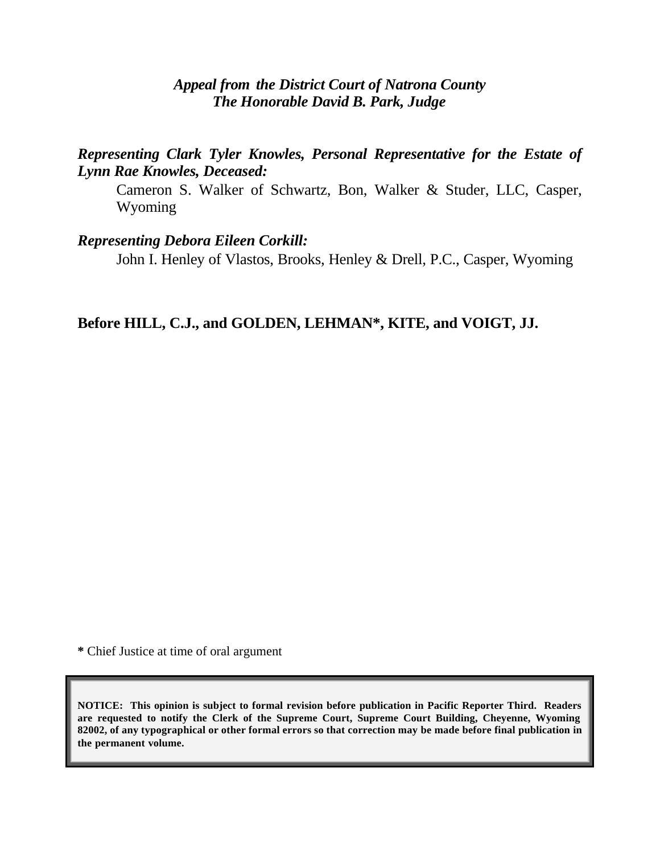## *Appeal from the District Court of Natrona County The Honorable David B. Park, Judge*

## *Representing Clark Tyler Knowles, Personal Representative for the Estate of Lynn Rae Knowles, Deceased:*

Cameron S. Walker of Schwartz, Bon, Walker & Studer, LLC, Casper, Wyoming

### *Representing Debora Eileen Corkill:*

John I. Henley of Vlastos, Brooks, Henley & Drell, P.C., Casper, Wyoming

**Before HILL, C.J., and GOLDEN, LEHMAN\*, KITE, and VOIGT, JJ.**

**\*** Chief Justice at time of oral argument

**NOTICE: This opinion is subject to formal revision before publication in Pacific Reporter Third. Readers are requested to notify the Clerk of the Supreme Court, Supreme Court Building, Cheyenne, Wyoming 82002, of any typographical or other formal errors so that correction may be made before final publication in the permanent volume.**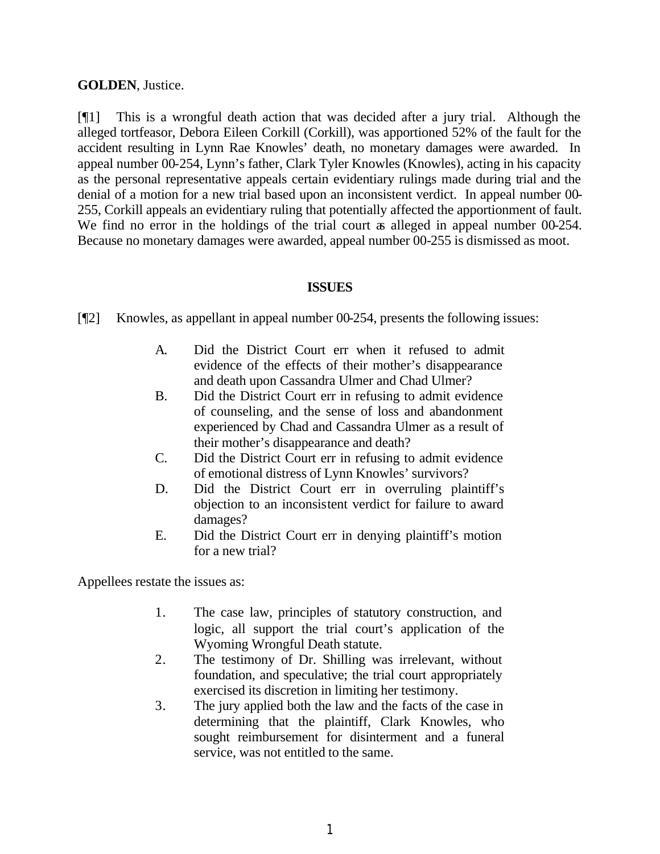#### **GOLDEN**, Justice.

[¶1] This is a wrongful death action that was decided after a jury trial. Although the alleged tortfeasor, Debora Eileen Corkill (Corkill), was apportioned 52% of the fault for the accident resulting in Lynn Rae Knowles' death, no monetary damages were awarded. In appeal number 00-254, Lynn's father, Clark Tyler Knowles (Knowles), acting in his capacity as the personal representative appeals certain evidentiary rulings made during trial and the denial of a motion for a new trial based upon an inconsistent verdict. In appeal number 00- 255, Corkill appeals an evidentiary ruling that potentially affected the apportionment of fault. We find no error in the holdings of the trial court as alleged in appeal number 00-254. Because no monetary damages were awarded, appeal number 00-255 is dismissed as moot.

#### **ISSUES**

[¶2] Knowles, as appellant in appeal number 00-254, presents the following issues:

- A. Did the District Court err when it refused to admit evidence of the effects of their mother's disappearance and death upon Cassandra Ulmer and Chad Ulmer?
- B. Did the District Court err in refusing to admit evidence of counseling, and the sense of loss and abandonment experienced by Chad and Cassandra Ulmer as a result of their mother's disappearance and death?
- C. Did the District Court err in refusing to admit evidence of emotional distress of Lynn Knowles' survivors?
- D. Did the District Court err in overruling plaintiff's objection to an inconsistent verdict for failure to award damages?
- E. Did the District Court err in denying plaintiff's motion for a new trial?

Appellees restate the issues as:

- 1. The case law, principles of statutory construction, and logic, all support the trial court's application of the Wyoming Wrongful Death statute.
- 2. The testimony of Dr. Shilling was irrelevant, without foundation, and speculative; the trial court appropriately exercised its discretion in limiting her testimony.
- 3. The jury applied both the law and the facts of the case in determining that the plaintiff, Clark Knowles, who sought reimbursement for disinterment and a funeral service, was not entitled to the same.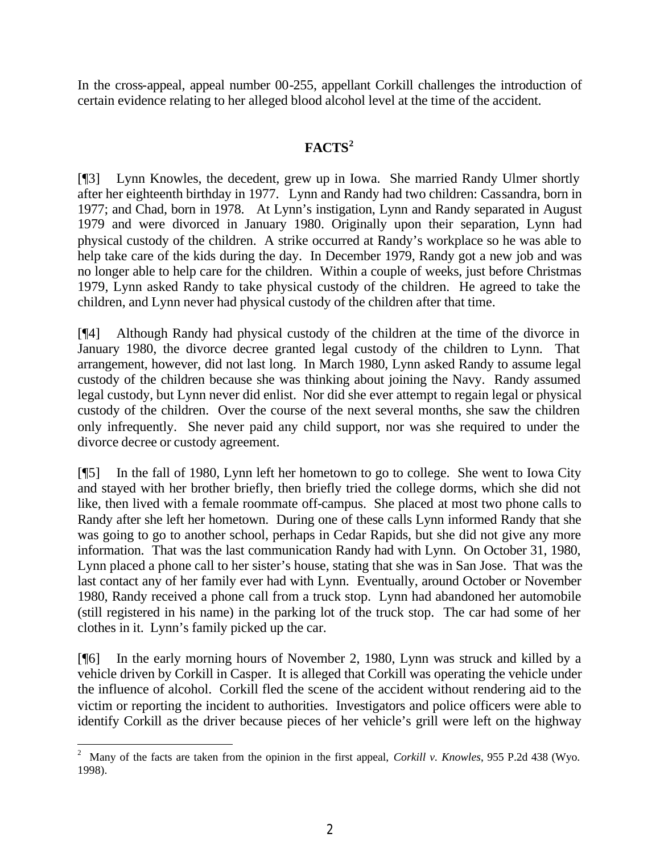In the cross-appeal, appeal number 00-255, appellant Corkill challenges the introduction of certain evidence relating to her alleged blood alcohol level at the time of the accident.

## **FACTS<sup>2</sup>**

[¶3] Lynn Knowles, the decedent, grew up in Iowa. She married Randy Ulmer shortly after her eighteenth birthday in 1977. Lynn and Randy had two children: Cassandra, born in 1977; and Chad, born in 1978. At Lynn's instigation, Lynn and Randy separated in August 1979 and were divorced in January 1980. Originally upon their separation, Lynn had physical custody of the children. A strike occurred at Randy's workplace so he was able to help take care of the kids during the day. In December 1979, Randy got a new job and was no longer able to help care for the children. Within a couple of weeks, just before Christmas 1979, Lynn asked Randy to take physical custody of the children. He agreed to take the children, and Lynn never had physical custody of the children after that time.

[¶4] Although Randy had physical custody of the children at the time of the divorce in January 1980, the divorce decree granted legal custody of the children to Lynn. That arrangement, however, did not last long. In March 1980, Lynn asked Randy to assume legal custody of the children because she was thinking about joining the Navy. Randy assumed legal custody, but Lynn never did enlist. Nor did she ever attempt to regain legal or physical custody of the children. Over the course of the next several months, she saw the children only infrequently. She never paid any child support, nor was she required to under the divorce decree or custody agreement.

[¶5] In the fall of 1980, Lynn left her hometown to go to college. She went to Iowa City and stayed with her brother briefly, then briefly tried the college dorms, which she did not like, then lived with a female roommate off-campus. She placed at most two phone calls to Randy after she left her hometown. During one of these calls Lynn informed Randy that she was going to go to another school, perhaps in Cedar Rapids, but she did not give any more information. That was the last communication Randy had with Lynn. On October 31, 1980, Lynn placed a phone call to her sister's house, stating that she was in San Jose. That was the last contact any of her family ever had with Lynn. Eventually, around October or November 1980, Randy received a phone call from a truck stop. Lynn had abandoned her automobile (still registered in his name) in the parking lot of the truck stop. The car had some of her clothes in it. Lynn's family picked up the car.

[¶6] In the early morning hours of November 2, 1980, Lynn was struck and killed by a vehicle driven by Corkill in Casper. It is alleged that Corkill was operating the vehicle under the influence of alcohol. Corkill fled the scene of the accident without rendering aid to the victim or reporting the incident to authorities. Investigators and police officers were able to identify Corkill as the driver because pieces of her vehicle's grill were left on the highway

 2 Many of the facts are taken from the opinion in the first appeal, *Corkill v. Knowles*, 955 P.2d 438 (Wyo. 1998).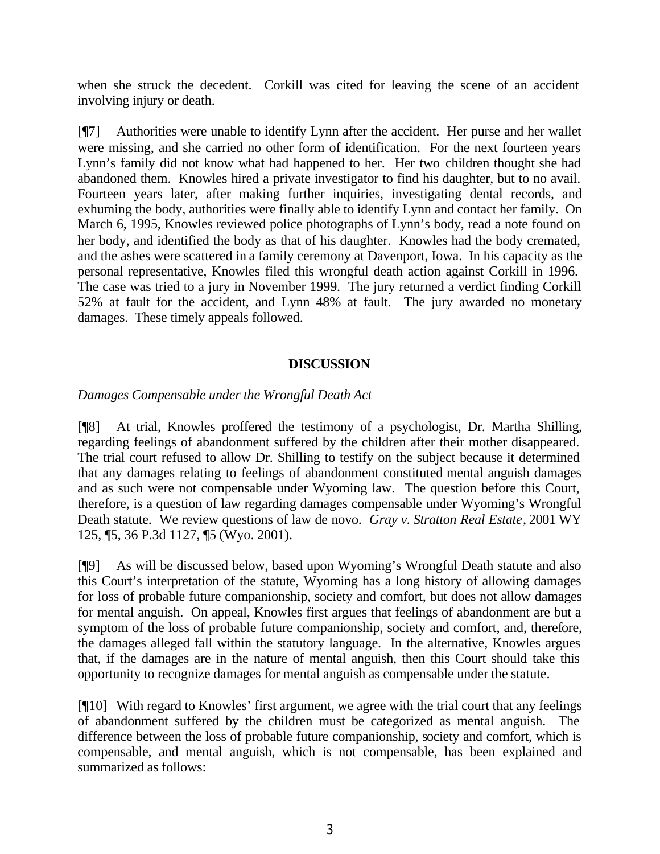when she struck the decedent. Corkill was cited for leaving the scene of an accident involving injury or death.

[¶7] Authorities were unable to identify Lynn after the accident. Her purse and her wallet were missing, and she carried no other form of identification. For the next fourteen years Lynn's family did not know what had happened to her. Her two children thought she had abandoned them. Knowles hired a private investigator to find his daughter, but to no avail. Fourteen years later, after making further inquiries, investigating dental records, and exhuming the body, authorities were finally able to identify Lynn and contact her family. On March 6, 1995, Knowles reviewed police photographs of Lynn's body, read a note found on her body, and identified the body as that of his daughter. Knowles had the body cremated, and the ashes were scattered in a family ceremony at Davenport, Iowa. In his capacity as the personal representative, Knowles filed this wrongful death action against Corkill in 1996. The case was tried to a jury in November 1999. The jury returned a verdict finding Corkill 52% at fault for the accident, and Lynn 48% at fault. The jury awarded no monetary damages. These timely appeals followed.

#### **DISCUSSION**

#### *Damages Compensable under the Wrongful Death Act*

[¶8] At trial, Knowles proffered the testimony of a psychologist, Dr. Martha Shilling, regarding feelings of abandonment suffered by the children after their mother disappeared. The trial court refused to allow Dr. Shilling to testify on the subject because it determined that any damages relating to feelings of abandonment constituted mental anguish damages and as such were not compensable under Wyoming law. The question before this Court, therefore, is a question of law regarding damages compensable under Wyoming's Wrongful Death statute. We review questions of law de novo. *Gray v. Stratton Real Estate*, 2001 WY 125, ¶5, 36 P.3d 1127, ¶5 (Wyo. 2001).

[¶9] As will be discussed below, based upon Wyoming's Wrongful Death statute and also this Court's interpretation of the statute, Wyoming has a long history of allowing damages for loss of probable future companionship, society and comfort, but does not allow damages for mental anguish. On appeal, Knowles first argues that feelings of abandonment are but a symptom of the loss of probable future companionship, society and comfort, and, therefore, the damages alleged fall within the statutory language. In the alternative, Knowles argues that, if the damages are in the nature of mental anguish, then this Court should take this opportunity to recognize damages for mental anguish as compensable under the statute.

[¶10] With regard to Knowles' first argument, we agree with the trial court that any feelings of abandonment suffered by the children must be categorized as mental anguish. The difference between the loss of probable future companionship, society and comfort, which is compensable, and mental anguish, which is not compensable, has been explained and summarized as follows: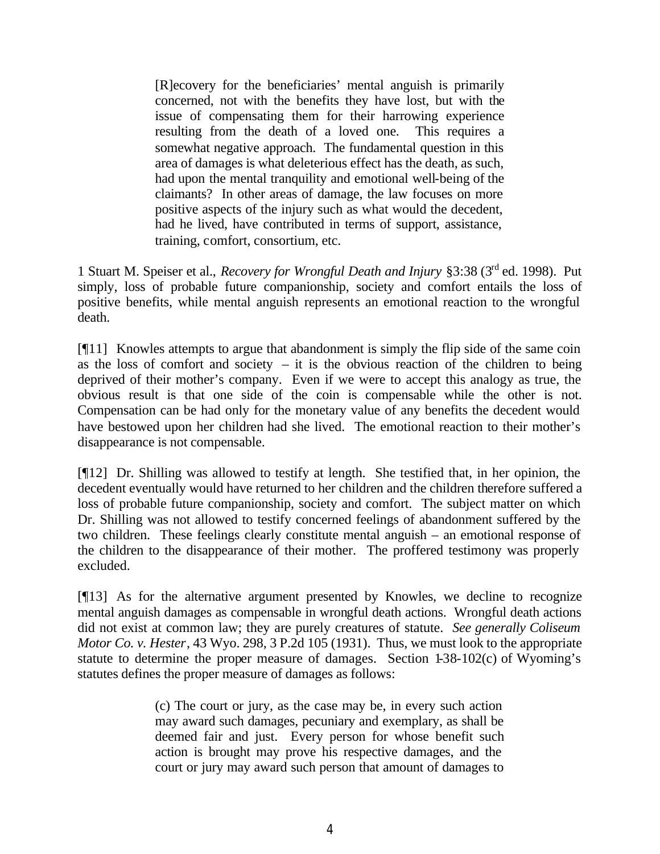[R]ecovery for the beneficiaries' mental anguish is primarily concerned, not with the benefits they have lost, but with the issue of compensating them for their harrowing experience resulting from the death of a loved one. This requires a somewhat negative approach. The fundamental question in this area of damages is what deleterious effect has the death, as such, had upon the mental tranquility and emotional well-being of the claimants? In other areas of damage, the law focuses on more positive aspects of the injury such as what would the decedent, had he lived, have contributed in terms of support, assistance, training, comfort, consortium, etc.

1 Stuart M. Speiser et al., *Recovery for Wrongful Death and Injury* §3:38 (3rd ed. 1998). Put simply, loss of probable future companionship, society and comfort entails the loss of positive benefits, while mental anguish represents an emotional reaction to the wrongful death.

[¶11] Knowles attempts to argue that abandonment is simply the flip side of the same coin as the loss of comfort and society – it is the obvious reaction of the children to being deprived of their mother's company. Even if we were to accept this analogy as true, the obvious result is that one side of the coin is compensable while the other is not. Compensation can be had only for the monetary value of any benefits the decedent would have bestowed upon her children had she lived. The emotional reaction to their mother's disappearance is not compensable.

[¶12] Dr. Shilling was allowed to testify at length. She testified that, in her opinion, the decedent eventually would have returned to her children and the children therefore suffered a loss of probable future companionship, society and comfort. The subject matter on which Dr. Shilling was not allowed to testify concerned feelings of abandonment suffered by the two children. These feelings clearly constitute mental anguish – an emotional response of the children to the disappearance of their mother. The proffered testimony was properly excluded.

[¶13] As for the alternative argument presented by Knowles, we decline to recognize mental anguish damages as compensable in wrongful death actions. Wrongful death actions did not exist at common law; they are purely creatures of statute. *See generally Coliseum Motor Co. v. Hester*, 43 Wyo. 298, 3 P.2d 105 (1931). Thus, we must look to the appropriate statute to determine the proper measure of damages. Section 1-38-102(c) of Wyoming's statutes defines the proper measure of damages as follows:

> (c) The court or jury, as the case may be, in every such action may award such damages, pecuniary and exemplary, as shall be deemed fair and just. Every person for whose benefit such action is brought may prove his respective damages, and the court or jury may award such person that amount of damages to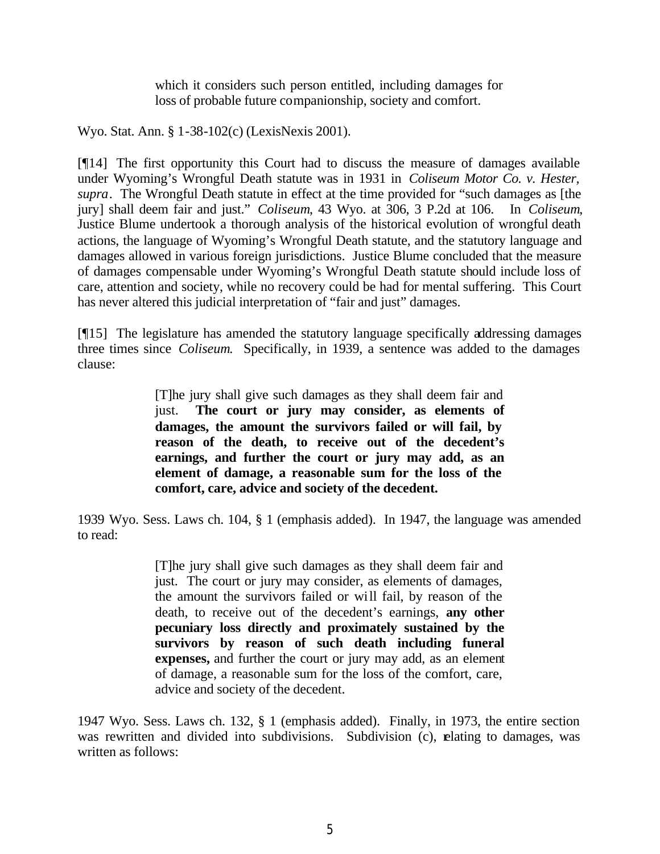which it considers such person entitled, including damages for loss of probable future companionship, society and comfort.

Wyo. Stat. Ann. § 1-38-102(c) (LexisNexis 2001).

[¶14] The first opportunity this Court had to discuss the measure of damages available under Wyoming's Wrongful Death statute was in 1931 in *Coliseum Motor Co. v. Hester, supra*. The Wrongful Death statute in effect at the time provided for "such damages as [the jury] shall deem fair and just." *Coliseum*, 43 Wyo. at 306, 3 P.2d at 106. In *Coliseum*, Justice Blume undertook a thorough analysis of the historical evolution of wrongful death actions, the language of Wyoming's Wrongful Death statute, and the statutory language and damages allowed in various foreign jurisdictions. Justice Blume concluded that the measure of damages compensable under Wyoming's Wrongful Death statute should include loss of care, attention and society, while no recovery could be had for mental suffering. This Court has never altered this judicial interpretation of "fair and just" damages.

[¶15] The legislature has amended the statutory language specifically addressing damages three times since *Coliseum*. Specifically, in 1939, a sentence was added to the damages clause:

> [T]he jury shall give such damages as they shall deem fair and just. **The court or jury may consider, as elements of damages, the amount the survivors failed or will fail, by reason of the death, to receive out of the decedent's earnings, and further the court or jury may add, as an element of damage, a reasonable sum for the loss of the comfort, care, advice and society of the decedent.**

1939 Wyo. Sess. Laws ch. 104, § 1 (emphasis added). In 1947, the language was amended to read:

> [T]he jury shall give such damages as they shall deem fair and just. The court or jury may consider, as elements of damages, the amount the survivors failed or will fail, by reason of the death, to receive out of the decedent's earnings, **any other pecuniary loss directly and proximately sustained by the survivors by reason of such death including funeral expenses,** and further the court or jury may add, as an element of damage, a reasonable sum for the loss of the comfort, care, advice and society of the decedent.

1947 Wyo. Sess. Laws ch. 132, § 1 (emphasis added). Finally, in 1973, the entire section was rewritten and divided into subdivisions. Subdivision (c), elating to damages, was written as follows: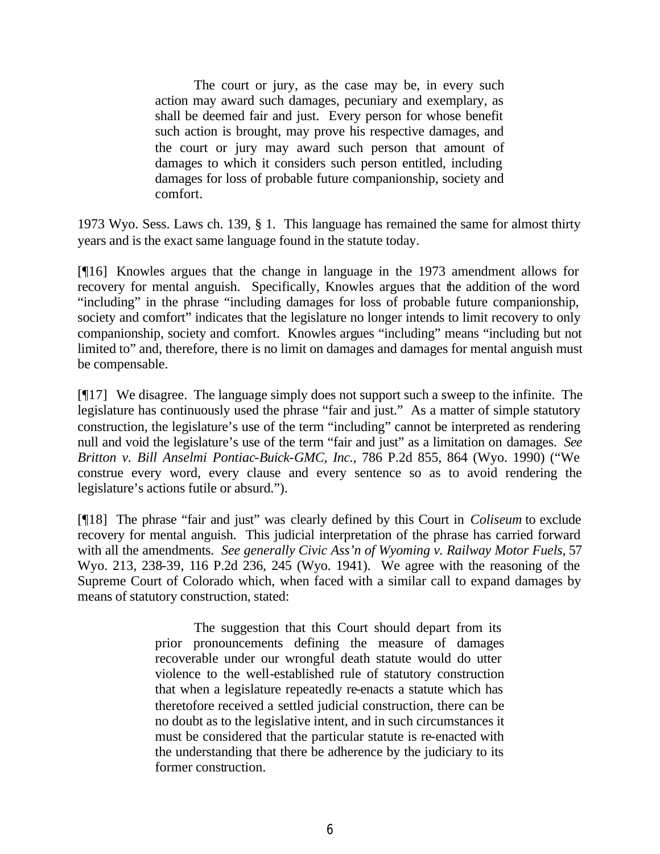The court or jury, as the case may be, in every such action may award such damages, pecuniary and exemplary, as shall be deemed fair and just. Every person for whose benefit such action is brought, may prove his respective damages, and the court or jury may award such person that amount of damages to which it considers such person entitled, including damages for loss of probable future companionship, society and comfort.

1973 Wyo. Sess. Laws ch. 139, § 1. This language has remained the same for almost thirty years and is the exact same language found in the statute today.

[¶16] Knowles argues that the change in language in the 1973 amendment allows for recovery for mental anguish. Specifically, Knowles argues that the addition of the word "including" in the phrase "including damages for loss of probable future companionship, society and comfort" indicates that the legislature no longer intends to limit recovery to only companionship, society and comfort. Knowles argues "including" means "including but not limited to" and, therefore, there is no limit on damages and damages for mental anguish must be compensable.

[¶17] We disagree. The language simply does not support such a sweep to the infinite. The legislature has continuously used the phrase "fair and just." As a matter of simple statutory construction, the legislature's use of the term "including" cannot be interpreted as rendering null and void the legislature's use of the term "fair and just" as a limitation on damages. *See Britton v. Bill Anselmi Pontiac-Buick-GMC, Inc.*, 786 P.2d 855, 864 (Wyo. 1990) ("We construe every word, every clause and every sentence so as to avoid rendering the legislature's actions futile or absurd.").

[¶18] The phrase "fair and just" was clearly defined by this Court in *Coliseum* to exclude recovery for mental anguish. This judicial interpretation of the phrase has carried forward with all the amendments. *See generally Civic Ass'n of Wyoming v. Railway Motor Fuels*, 57 Wyo. 213, 238-39, 116 P.2d 236, 245 (Wyo. 1941). We agree with the reasoning of the Supreme Court of Colorado which, when faced with a similar call to expand damages by means of statutory construction, stated:

> The suggestion that this Court should depart from its prior pronouncements defining the measure of damages recoverable under our wrongful death statute would do utter violence to the well-established rule of statutory construction that when a legislature repeatedly re-enacts a statute which has theretofore received a settled judicial construction, there can be no doubt as to the legislative intent, and in such circumstances it must be considered that the particular statute is re-enacted with the understanding that there be adherence by the judiciary to its former construction.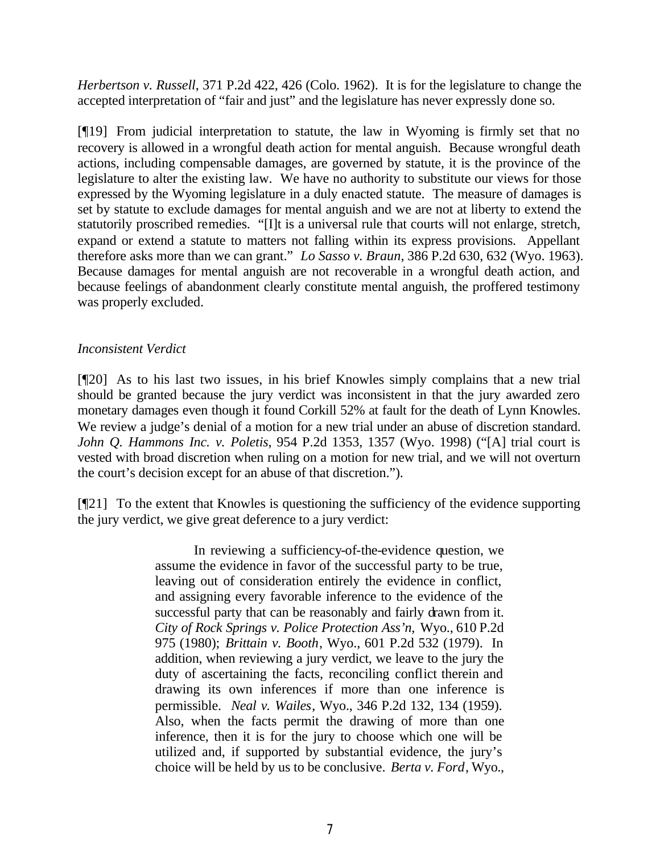*Herbertson v. Russell*, 371 P.2d 422, 426 (Colo. 1962). It is for the legislature to change the accepted interpretation of "fair and just" and the legislature has never expressly done so.

[¶19] From judicial interpretation to statute, the law in Wyoming is firmly set that no recovery is allowed in a wrongful death action for mental anguish. Because wrongful death actions, including compensable damages, are governed by statute, it is the province of the legislature to alter the existing law. We have no authority to substitute our views for those expressed by the Wyoming legislature in a duly enacted statute. The measure of damages is set by statute to exclude damages for mental anguish and we are not at liberty to extend the statutorily proscribed remedies. "[I]t is a universal rule that courts will not enlarge, stretch, expand or extend a statute to matters not falling within its express provisions. Appellant therefore asks more than we can grant." *Lo Sasso v. Braun*, 386 P.2d 630, 632 (Wyo. 1963). Because damages for mental anguish are not recoverable in a wrongful death action, and because feelings of abandonment clearly constitute mental anguish, the proffered testimony was properly excluded.

#### *Inconsistent Verdict*

[¶20] As to his last two issues, in his brief Knowles simply complains that a new trial should be granted because the jury verdict was inconsistent in that the jury awarded zero monetary damages even though it found Corkill 52% at fault for the death of Lynn Knowles. We review a judge's denial of a motion for a new trial under an abuse of discretion standard. *John Q. Hammons Inc. v. Poletis*, 954 P.2d 1353, 1357 (Wyo. 1998) ("[A] trial court is vested with broad discretion when ruling on a motion for new trial, and we will not overturn the court's decision except for an abuse of that discretion.").

[¶21] To the extent that Knowles is questioning the sufficiency of the evidence supporting the jury verdict, we give great deference to a jury verdict:

> In reviewing a sufficiency-of-the-evidence question, we assume the evidence in favor of the successful party to be true, leaving out of consideration entirely the evidence in conflict, and assigning every favorable inference to the evidence of the successful party that can be reasonably and fairly drawn from it. *City of Rock Springs v. Police Protection Ass'n,* Wyo., 610 P.2d 975 (1980); *Brittain v. Booth*, Wyo., 601 P.2d 532 (1979). In addition, when reviewing a jury verdict, we leave to the jury the duty of ascertaining the facts, reconciling conflict therein and drawing its own inferences if more than one inference is permissible. *Neal v. Wailes*, Wyo., 346 P.2d 132, 134 (1959). Also, when the facts permit the drawing of more than one inference, then it is for the jury to choose which one will be utilized and, if supported by substantial evidence, the jury's choice will be held by us to be conclusive. *Berta v. Ford*, Wyo.,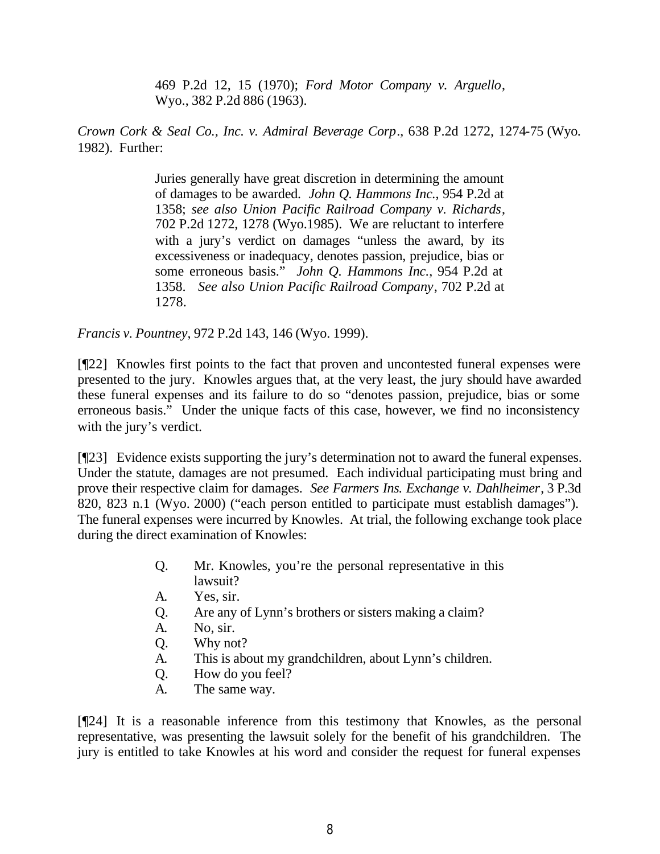469 P.2d 12, 15 (1970); *Ford Motor Company v. Arguello*, Wyo., 382 P.2d 886 (1963).

*Crown Cork & Seal Co., Inc. v. Admiral Beverage Corp*., 638 P.2d 1272, 1274-75 (Wyo. 1982). Further:

> Juries generally have great discretion in determining the amount of damages to be awarded. *John Q. Hammons Inc.*, 954 P.2d at 1358; *see also Union Pacific Railroad Company v. Richards*, 702 P.2d 1272, 1278 (Wyo.1985). We are reluctant to interfere with a jury's verdict on damages "unless the award, by its excessiveness or inadequacy, denotes passion, prejudice, bias or some erroneous basis." *John Q. Hammons Inc.*, 954 P.2d at 1358. *See also Union Pacific Railroad Company*, 702 P.2d at 1278.

*Francis v. Pountney*, 972 P.2d 143, 146 (Wyo. 1999).

[¶22] Knowles first points to the fact that proven and uncontested funeral expenses were presented to the jury. Knowles argues that, at the very least, the jury should have awarded these funeral expenses and its failure to do so "denotes passion, prejudice, bias or some erroneous basis." Under the unique facts of this case, however, we find no inconsistency with the jury's verdict.

[¶23] Evidence exists supporting the jury's determination not to award the funeral expenses. Under the statute, damages are not presumed. Each individual participating must bring and prove their respective claim for damages. *See Farmers Ins. Exchange v. Dahlheimer*, 3 P.3d 820, 823 n.1 (Wyo. 2000) ("each person entitled to participate must establish damages"). The funeral expenses were incurred by Knowles. At trial, the following exchange took place during the direct examination of Knowles:

- Q. Mr. Knowles, you're the personal representative in this lawsuit?
- A. Yes, sir.
- Q. Are any of Lynn's brothers or sisters making a claim?
- A. No, sir.
- Q. Why not?
- A. This is about my grandchildren, about Lynn's children.
- Q. How do you feel?
- A. The same way.

[¶24] It is a reasonable inference from this testimony that Knowles, as the personal representative, was presenting the lawsuit solely for the benefit of his grandchildren. The jury is entitled to take Knowles at his word and consider the request for funeral expenses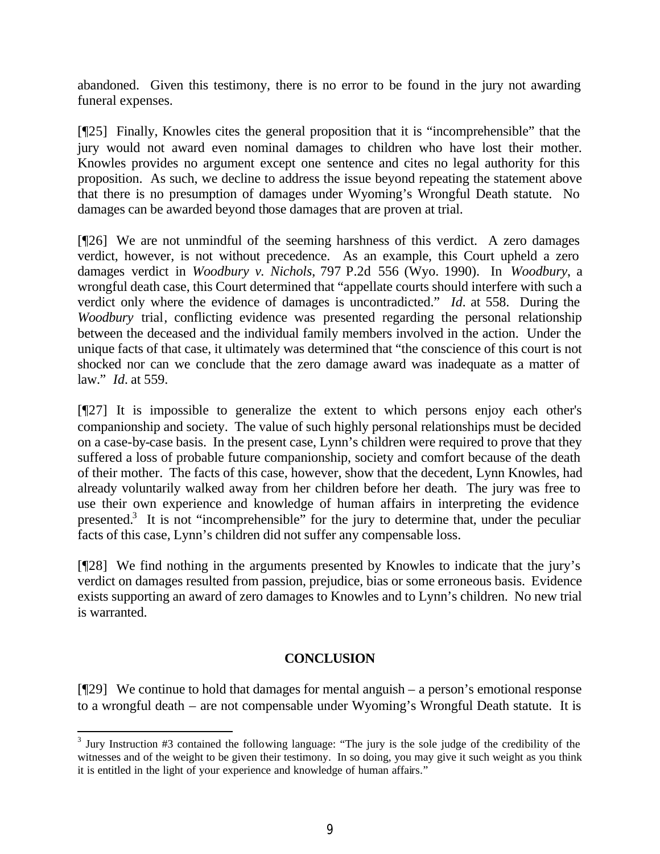abandoned. Given this testimony, there is no error to be found in the jury not awarding funeral expenses.

[¶25] Finally, Knowles cites the general proposition that it is "incomprehensible" that the jury would not award even nominal damages to children who have lost their mother. Knowles provides no argument except one sentence and cites no legal authority for this proposition. As such, we decline to address the issue beyond repeating the statement above that there is no presumption of damages under Wyoming's Wrongful Death statute. No damages can be awarded beyond those damages that are proven at trial.

[¶26] We are not unmindful of the seeming harshness of this verdict. A zero damages verdict, however, is not without precedence. As an example, this Court upheld a zero damages verdict in *Woodbury v. Nichols*, 797 P.2d 556 (Wyo. 1990). In *Woodbury*, a wrongful death case, this Court determined that "appellate courts should interfere with such a verdict only where the evidence of damages is uncontradicted." *Id.* at 558. During the *Woodbury* trial*,* conflicting evidence was presented regarding the personal relationship between the deceased and the individual family members involved in the action. Under the unique facts of that case, it ultimately was determined that "the conscience of this court is not shocked nor can we conclude that the zero damage award was inadequate as a matter of law." *Id.* at 559.

[¶27] It is impossible to generalize the extent to which persons enjoy each other's companionship and society. The value of such highly personal relationships must be decided on a case-by-case basis. In the present case, Lynn's children were required to prove that they suffered a loss of probable future companionship, society and comfort because of the death of their mother. The facts of this case, however, show that the decedent, Lynn Knowles, had already voluntarily walked away from her children before her death. The jury was free to use their own experience and knowledge of human affairs in interpreting the evidence presented.<sup>3</sup> It is not "incomprehensible" for the jury to determine that, under the peculiar facts of this case, Lynn's children did not suffer any compensable loss.

[¶28] We find nothing in the arguments presented by Knowles to indicate that the jury's verdict on damages resulted from passion, prejudice, bias or some erroneous basis. Evidence exists supporting an award of zero damages to Knowles and to Lynn's children. No new trial is warranted.

#### **CONCLUSION**

[¶29] We continue to hold that damages for mental anguish – a person's emotional response to a wrongful death – are not compensable under Wyoming's Wrongful Death statute. It is

<sup>&</sup>lt;sup>3</sup> Jury Instruction #3 contained the following language: "The jury is the sole judge of the credibility of the witnesses and of the weight to be given their testimony. In so doing, you may give it such weight as you think it is entitled in the light of your experience and knowledge of human affairs."